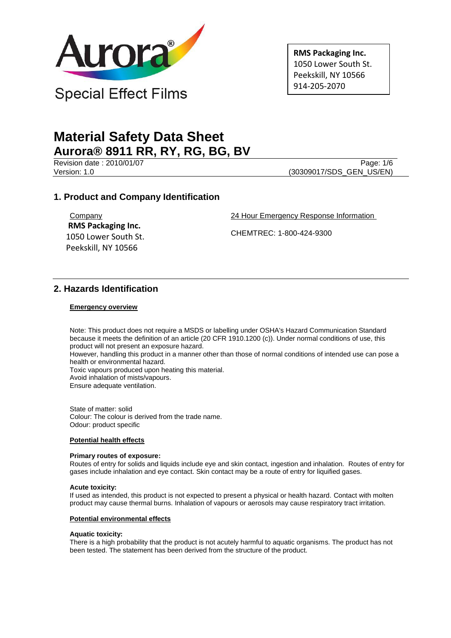

**RMS Packaging Inc.** 1050 Lower South St. Peekskill, NY 10566 914-205-2070

# **Material Safety Data Sheet Aurora® 8911 RR, RY, RG, BG, BV**

Revision date : 2010/01/07 Page: 1/6

Version: 1.0 (30309017/SDS\_GEN\_US/EN)

# **1. Product and Company Identification**

**Company RMS Packaging Inc.** 1050 Lower South St. Peekskill, NY 10566

24 Hour Emergency Response Information

CHEMTREC: 1-800-424-9300

# **2. Hazards Identification**

## **Emergency overview**

Note: This product does not require a MSDS or labelling under OSHA's Hazard Communication Standard because it meets the definition of an article (20 CFR 1910.1200 (c)). Under normal conditions of use, this product will not present an exposure hazard.

However, handling this product in a manner other than those of normal conditions of intended use can pose a health or environmental hazard.

Toxic vapours produced upon heating this material.

Avoid inhalation of mists/vapours.

Ensure adequate ventilation.

State of matter: solid Colour: The colour is derived from the trade name. Odour: product specific

## **Potential health effects**

#### **Primary routes of exposure:**

Routes of entry for solids and liquids include eye and skin contact, ingestion and inhalation. Routes of entry for gases include inhalation and eye contact. Skin contact may be a route of entry for liquified gases.

#### **Acute toxicity:**

If used as intended, this product is not expected to present a physical or health hazard. Contact with molten product may cause thermal burns. Inhalation of vapours or aerosols may cause respiratory tract irritation.

### **Potential environmental effects**

### **Aquatic toxicity:**

There is a high probability that the product is not acutely harmful to aquatic organisms. The product has not been tested. The statement has been derived from the structure of the product.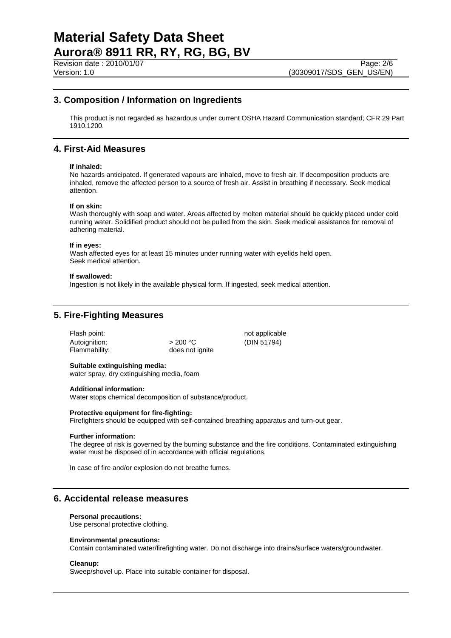# **3. Composition / Information on Ingredients**

This product is not regarded as hazardous under current OSHA Hazard Communication standard; CFR 29 Part 1910.1200.

## **4. First-Aid Measures**

#### **If inhaled:**

No hazards anticipated. If generated vapours are inhaled, move to fresh air. If decomposition products are inhaled, remove the affected person to a source of fresh air. Assist in breathing if necessary. Seek medical attention.

#### **If on skin:**

Wash thoroughly with soap and water. Areas affected by molten material should be quickly placed under cold running water. Solidified product should not be pulled from the skin. Seek medical assistance for removal of adhering material.

### **If in eyes:**

Wash affected eyes for at least 15 minutes under running water with eyelids held open. Seek medical attention.

#### **If swallowed:**

Ingestion is not likely in the available physical form. If ingested, seek medical attention.

# **5. Fire-Fighting Measures**

| >200 °C         |
|-----------------|
| does not ignite |
|                 |

not applicable (DIN 51794)

## **Suitable extinguishing media:**

water spray, dry extinguishing media, foam

#### **Additional information:**

Water stops chemical decomposition of substance/product.

#### **Protective equipment for fire-fighting:**

Firefighters should be equipped with self-contained breathing apparatus and turn-out gear.

#### **Further information:**

The degree of risk is governed by the burning substance and the fire conditions. Contaminated extinguishing water must be disposed of in accordance with official regulations.

In case of fire and/or explosion do not breathe fumes.

## **6. Accidental release measures**

#### **Personal precautions:**

Use personal protective clothing.

#### **Environmental precautions:**

Contain contaminated water/firefighting water. Do not discharge into drains/surface waters/groundwater.

#### **Cleanup:**

Sweep/shovel up. Place into suitable container for disposal.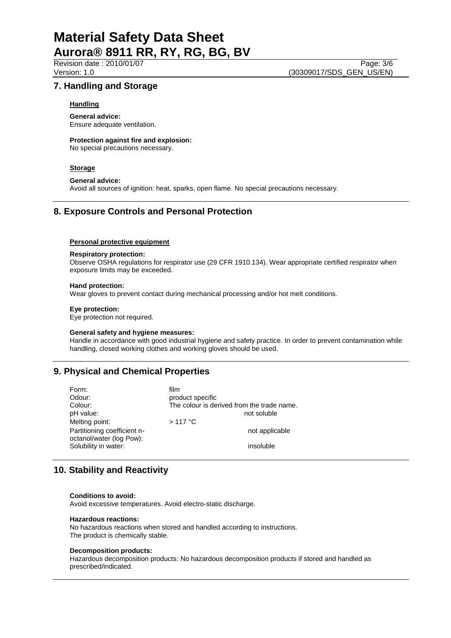# **Material Safety Data Sheet Aurora® 8911 RR, RY, RG, BG, BV**

Revision date : 2010/01/07 Page: 3/6<br>Version: 1.0 (30309017/SDS GEN US/EN) (30309017/SDS\_GEN\_US/EN)

## **7. Handling and Storage**

## **Handling**

**General advice:** Ensure adequate ventilation.

**Protection against fire and explosion:** No special precautions necessary.

## **Storage**

#### **General advice:**

Avoid all sources of ignition: heat, sparks, open flame. No special precautions necessary.

## **8. Exposure Controls and Personal Protection**

## **Personal protective equipment**

## **Respiratory protection:**

Observe OSHA regulations for respirator use (29 CFR 1910.134). Wear appropriate certified respirator when exposure limits may be exceeded.

#### **Hand protection:**

Wear gloves to prevent contact during mechanical processing and/or hot melt conditions.

#### **Eye protection:**

Eye protection not required.

#### **General safety and hygiene measures:**

Handle in accordance with good industrial hygiene and safety practice. In order to prevent contamination while handling, closed working clothes and working gloves should be used.

# **9. Physical and Chemical Properties**

| Form:                       | film                                       |
|-----------------------------|--------------------------------------------|
| Odour:                      | product specific                           |
| Colour:                     | The colour is derived from the trade name. |
| pH value:                   | not soluble                                |
| Melting point:              | $>117$ °C                                  |
| Partitioning coefficient n- | not applicable                             |
| octanol/water (log Pow):    |                                            |
| Solubility in water:        | insoluble                                  |

# **10. Stability and Reactivity**

#### **Conditions to avoid:**

Avoid excessive temperatures. Avoid electro-static discharge.

#### **Hazardous reactions:**

No hazardous reactions when stored and handled according to instructions. The product is chemically stable.

#### **Decomposition products:**

Hazardous decomposition products: No hazardous decomposition products if stored and handled as prescribed/indicated.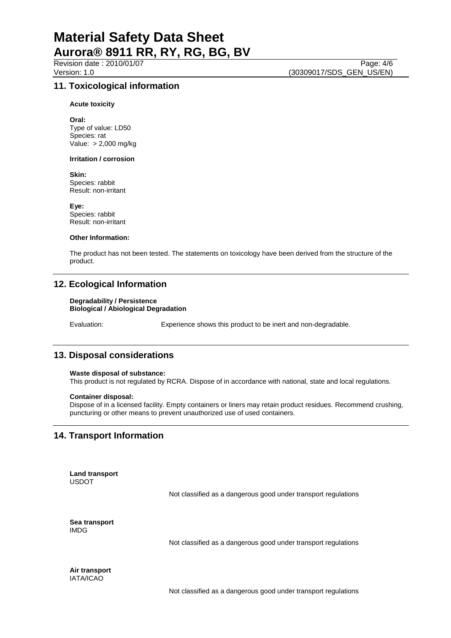Revision date : 2010/01/07 Page: 4/6<br>Version: 1.0 (30309017/SDS GEN US/EN) (30309017/SDS\_GEN\_US/EN)

## **11. Toxicological information**

**Acute toxicity**

**Oral:** Type of value: LD50 Species: rat Value: > 2,000 mg/kg

#### **Irritation / corrosion**

**Skin:**

Species: rabbit Result: non-irritant

**Eye:** Species: rabbit Result: non-irritant

#### **Other Information:**

The product has not been tested. The statements on toxicology have been derived from the structure of the product.

## **12. Ecological Information**

#### **Degradability / Persistence Biological / Abiological Degradation**

Evaluation: Experience shows this product to be inert and non-degradable.

## **13. Disposal considerations**

#### **Waste disposal of substance:**

This product is not regulated by RCRA. Dispose of in accordance with national, state and local regulations.

#### **Container disposal:**

Dispose of in a licensed facility. Empty containers or liners may retain product residues. Recommend crushing, puncturing or other means to prevent unauthorized use of used containers.

## **14. Transport Information**

**Land transport** USDOT

Not classified as a dangerous good under transport regulations

**Sea transport** IMDG

Not classified as a dangerous good under transport regulations

**Air transport** IATA/ICAO

Not classified as a dangerous good under transport regulations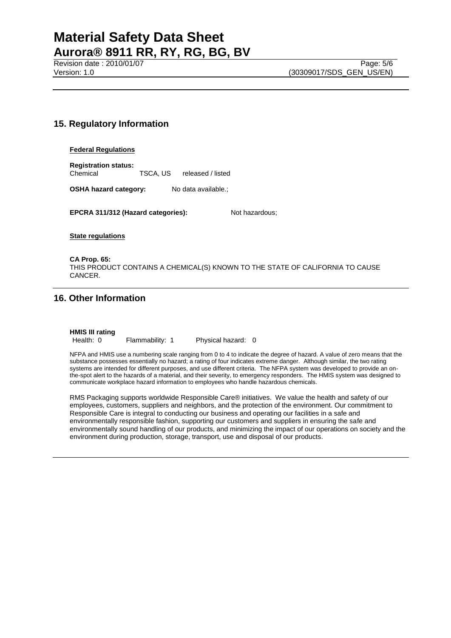# **Material Safety Data Sheet Aurora® 8911 RR, RY, RG, BG, BV**

Revision date : 2010/01/07 Page: 5/6<br>
Version: 1.0 (30309017/SDS GEN US/EN)

# **15. Regulatory Information**

### **Federal Regulations**

**Registration status:** Chemical TSCA, US released / listed

**OSHA hazard category:** No data available.;

**EPCRA 311/312 (Hazard categories):** Not hazardous;

**State regulations**

**CA Prop. 65:** THIS PRODUCT CONTAINS A CHEMICAL(S) KNOWN TO THE STATE OF CALIFORNIA TO CAUSE CANCER.

# **16. Other Information**

## **HMIS III rating**

Health: 0 Flammability: 1 Physical hazard: 0

NFPA and HMIS use a numbering scale ranging from 0 to 4 to indicate the degree of hazard. A value of zero means that the substance possesses essentially no hazard; a rating of four indicates extreme danger. Although similar, the two rating systems are intended for different purposes, and use different criteria. The NFPA system was developed to provide an onthe-spot alert to the hazards of a material, and their severity, to emergency responders. The HMIS system was designed to communicate workplace hazard information to employees who handle hazardous chemicals.

RMS Packaging supports worldwide Responsible Care® initiatives. We value the health and safety of our employees, customers, suppliers and neighbors, and the protection of the environment. Our commitment to Responsible Care is integral to conducting our business and operating our facilities in a safe and environmentally responsible fashion, supporting our customers and suppliers in ensuring the safe and environmentally sound handling of our products, and minimizing the impact of our operations on society and the environment during production, storage, transport, use and disposal of our products.